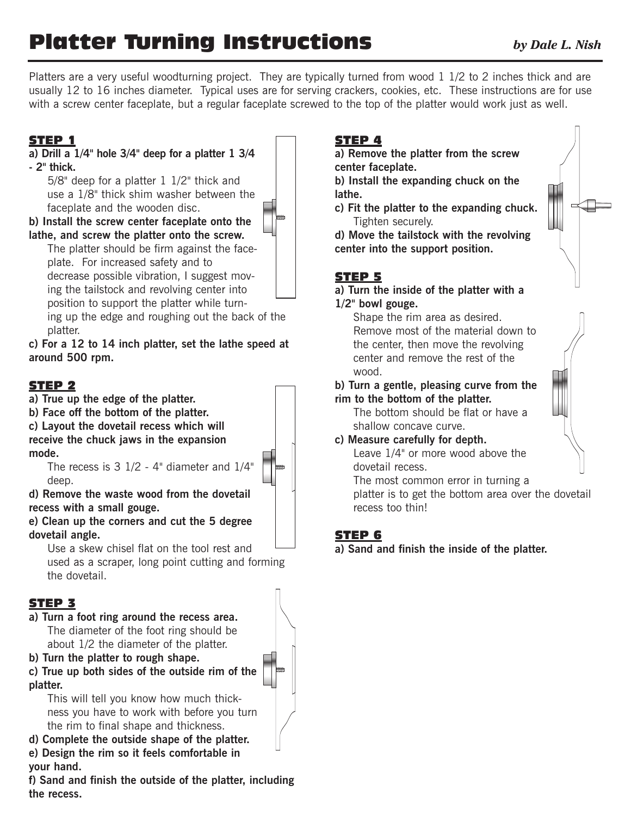# **Platter Turning Instructions** *by Dale L. Nish*

Platters are a very useful woodturning project. They are typically turned from wood 1 1/2 to 2 inches thick and are usually 12 to 16 inches diameter. Typical uses are for serving crackers, cookies, etc. These instructions are for use with a screw center faceplate, but a regular faceplate screwed to the top of the platter would work just as well.

# **STEP 1**

#### **a) Drill a 1/4" hole 3/4" deep for a platter 1 3/4 - 2" thick.**

5/8" deep for a platter 1 1/2" thick and use a 1/8" thick shim washer between the faceplate and the wooden disc.

**b) Install the screw center faceplate onto the lathe, and screw the platter onto the screw.**

The platter should be firm against the faceplate. For increased safety and to decrease possible vibration, I suggest moving the tailstock and revolving center into position to support the platter while turn-

ing up the edge and roughing out the back of the platter.

**c) For a 12 to 14 inch platter, set the lathe speed at around 500 rpm.**

#### **STEP 2**

**a) True up the edge of the platter.**

**b) Face off the bottom of the platter.**

**c) Layout the dovetail recess which will receive the chuck jaws in the expansion mode.**

The recess is 3 1/2 - 4" diameter and 1/4" deep.

**d) Remove the waste wood from the dovetail recess with a small gouge.**

**e) Clean up the corners and cut the 5 degree dovetail angle.**

Use a skew chisel flat on the tool rest and used as a scraper, long point cutting and forming the dovetail.

#### **STEP 3**

- **a) Turn a foot ring around the recess area.** The diameter of the foot ring should be about 1/2 the diameter of the platter.
- **b) Turn the platter to rough shape.**
- **c) True up both sides of the outside rim of the platter.**

This will tell you know how much thickness you have to work with before you turn the rim to final shape and thickness.

**d) Complete the outside shape of the platter.**

**e) Design the rim so it feels comfortable in your hand.**

**f) Sand and finish the outside of the platter, including the recess.**

# **STEP 4**

**a) Remove the platter from the screw center faceplate.**

**b) Install the expanding chuck on the lathe.**

**c) Fit the platter to the expanding chuck.** Tighten securely.

**d) Move the tailstock with the revolving center into the support position.**

### **STEP 5**

#### **a) Turn the inside of the platter with a 1/2" bowl gouge.**

Shape the rim area as desired. Remove most of the material down to the center, then move the revolving center and remove the rest of the wood.

**b) Turn a gentle, pleasing curve from the rim to the bottom of the platter.**

The bottom should be flat or have a shallow concave curve.

**c) Measure carefully for depth.**

Leave 1/4" or more wood above the dovetail recess.

The most common error in turning a

platter is to get the bottom area over the dovetail recess too thin!

## **STEP 6**

**a) Sand and finish the inside of the platter.**